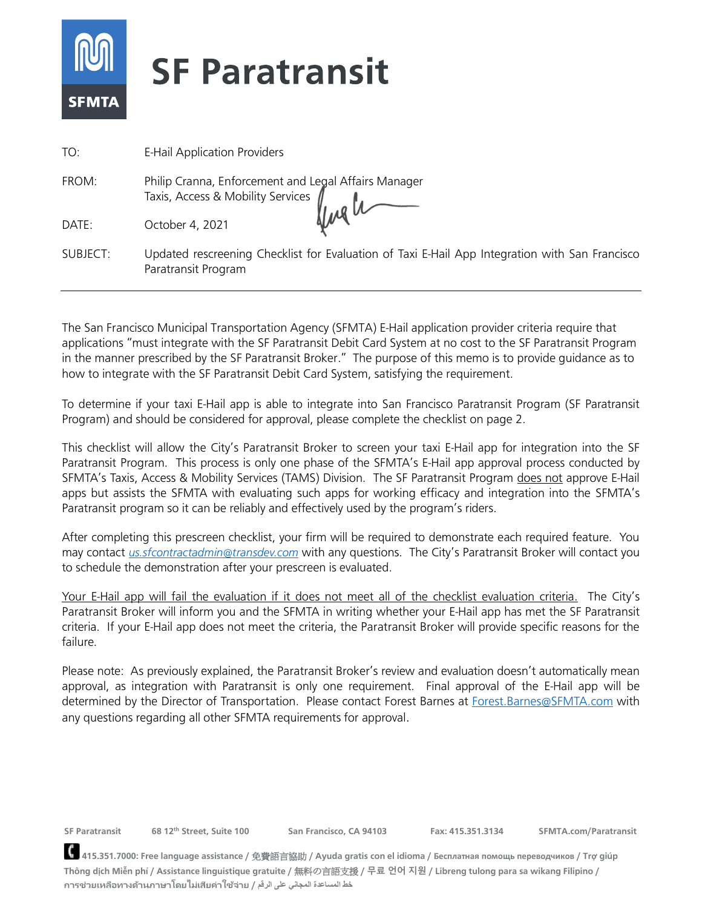

| TO:      | <b>E-Hail Application Providers</b>                                                                                   |
|----------|-----------------------------------------------------------------------------------------------------------------------|
| FROM:    | Philip Cranna, Enforcement and Legal Affairs Manager<br>Taxis, Access & Mobility Services<br>October 4 2021           |
| DATE:    | October 4, 2021                                                                                                       |
| SUBJECT: | Updated rescreening Checklist for Evaluation of Taxi E-Hail App Integration with San Francisco<br>Paratransit Program |

The San Francisco Municipal Transportation Agency (SFMTA) E-Hail application provider criteria require that applications "must integrate with the SF Paratransit Debit Card System at no cost to the SF Paratransit Program in the manner prescribed by the SF Paratransit Broker." The purpose of this memo is to provide guidance as to how to integrate with the SF Paratransit Debit Card System, satisfying the requirement.

To determine if your taxi E-Hail app is able to integrate into San Francisco Paratransit Program (SF Paratransit Program) and should be considered for approval, please complete the checklist on page 2.

This checklist will allow the City's Paratransit Broker to screen your taxi E-Hail app for integration into the SF Paratransit Program. This process is only one phase of the SFMTA's E-Hail app approval process conducted by SFMTA's Taxis, Access & Mobility Services (TAMS) Division. The SF Paratransit Program does not approve E-Hail apps but assists the SFMTA with evaluating such apps for working efficacy and integration into the SFMTA's Paratransit program so it can be reliably and effectively used by the program's riders.

After completing this prescreen checklist, your firm will be required to demonstrate each required feature. You may contact *[us.sfcontractadmin@transdev.com](mailto:us.sfcontractadmin@transdev.com)* with any questions. The City's Paratransit Broker will contact you to schedule the demonstration after your prescreen is evaluated.

Your E-Hail app will fail the evaluation if it does not meet all of the checklist evaluation criteria. The City's Paratransit Broker will inform you and the SFMTA in writing whether your E-Hail app has met the SF Paratransit criteria. If your E-Hail app does not meet the criteria, the Paratransit Broker will provide specific reasons for the failure.

Please note: As previously explained, the Paratransit Broker's review and evaluation doesn't automatically mean approval, as integration with Paratransit is only one requirement. Final approval of the E-Hail app will be determined by the Director of Transportation. Please contact Forest Barnes at [Forest.Barnes@SFMTA.com](mailto:Forest.Barnes@SFMTA.com) with any questions regarding all other SFMTA requirements for approval.

**SF Paratransit 68 12th Street, Suite 100 San Francisco, CA 94103 Fax: 415.351.3134 SFMTA.com/Paratransit**

**415.351.7000: Free language assistance /** 免費語言協助 **/ Ayuda gratis con el idioma / Бесплатная помощь переводчиков / Trợ giúp Thông dịch Miễn phí / Assistance linguistique gratuite /** 無料の言語支援 **/ 무료 언어 지원 / Libreng tulong para sa wikang Filipino / การช่วยเหลือทางด้านภาษาโดยไม่เสียค่าใช้จ่าย / الرقم على المجاني المساعدة خط**